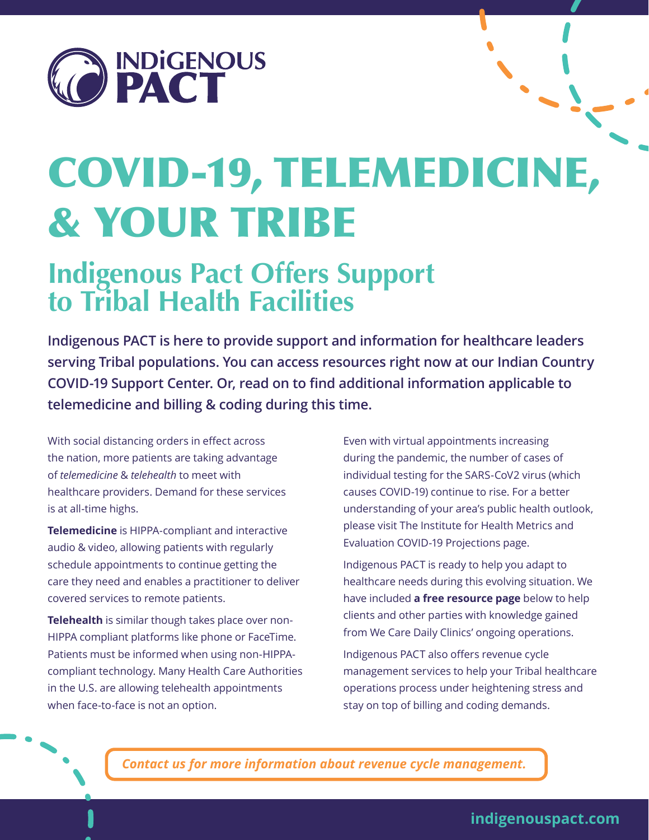

# COVID-19, TELEMEDICINE, & YOUR TRIBE

# **Indigenous Pact Offers Support to Tribal Health Facilities**

**Indigenous PACT is here to provide support and information for healthcare leaders serving Tribal populations. You can access resources right now at our Indian Country COVID-19 Support Center. Or, read on to find additional information applicable to telemedicine and billing & coding during this time.**

With social distancing orders in effect across the nation, more patients are taking advantage of *telemedicine* & *telehealth* to meet with healthcare providers. Demand for these services is at all-time highs.

**Telemedicine** is HIPPA-compliant and interactive audio & video, allowing patients with regularly schedule appointments to continue getting the care they need and enables a practitioner to deliver covered services to remote patients.

**Telehealth** is similar though takes place over non-HIPPA compliant platforms like phone or FaceTime. Patients must be informed when using non-HIPPAcompliant technology. Many Health Care Authorities in the U.S. are allowing telehealth appointments when face-to-face is not an option.

Even with virtual appointments increasing during the pandemic, the number of cases of individual testing for the SARS-CoV2 virus (which causes COVID-19) continue to rise. For a better understanding of your area's public health outlook, please visit The Institute for Health Metrics and Evaluation COVID-19 Projections page.

Indigenous PACT is ready to help you adapt to healthcare needs during this evolving situation. We have included **a free resource page** below to help clients and other parties with knowledge gained from We Care Daily Clinics' ongoing operations.

Indigenous PACT also offers revenue cycle management services to help your Tribal healthcare operations process under heightening stress and stay on top of billing and coding demands.

*Contact us for more information about revenue cycle management.*